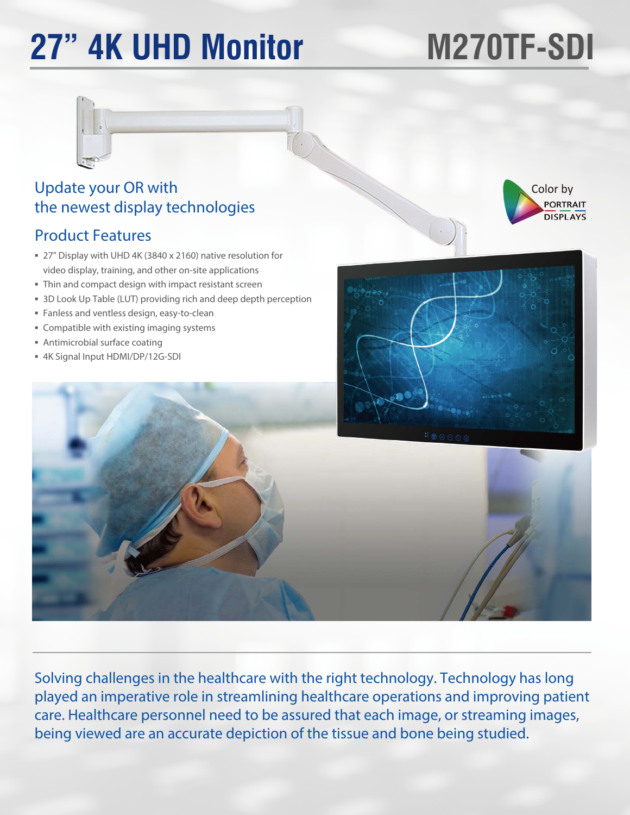# **27" 4K UHD Monitor**

# **M270TF-SDI**

Color by

PORTRAIT **DISPLAYS** 



## Update your OR with the newest display technologies

#### Product Features

- 27" Display with UHD 4K (3840 x 2160) native resolution for video display, training, and other on-site applications
- Thin and compact design with impact resistant screen
- 3D Look Up Table (LUT) providing rich and deep depth perception
- Fanless and ventless design, easy-to-clean
- Compatible with existing imaging systems
- Antimicrobial surface coating
- 4K Signal Input HDMI/DP/12G-SDI



Solving challenges in the healthcare with the right technology. Technology has long played an imperative role in streamlining healthcare operations and improving patient care. Healthcare personnel need to be assured that each image, or streaming images, being viewed are an accurate depiction of the tissue and bone being studied.